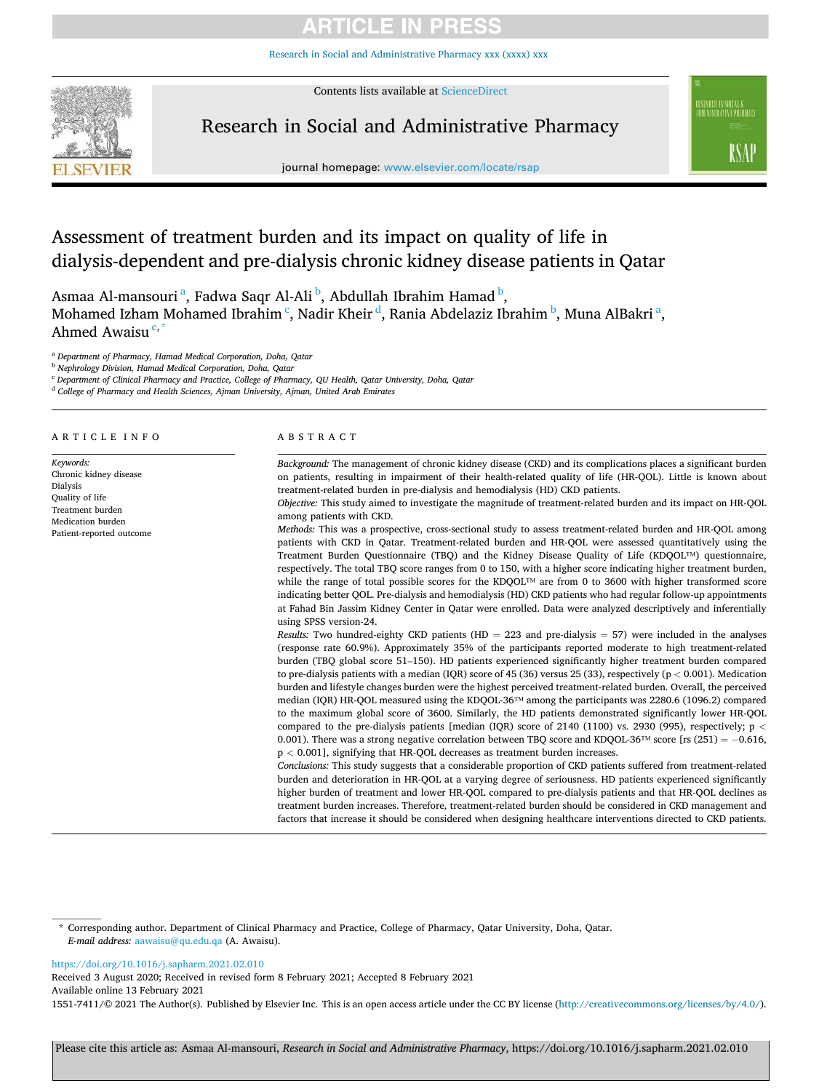# **ARTICLE IN PRES**

Research in Social and Adminis[tr](https://doi.org/10.1016/j.sapharm.2021.02.010)ative Pharmacy xxx (xxxx) xxx



Contents lists available at [ScienceDirect](www.sciencedirect.com/science/journal/15517411)

# Research in Social and Administrative Pharmacy



journal homepage: [www.elsevier.com/locate/rsap](https://www.elsevier.com/locate/rsap)

# Assessment of treatment burden and its impact on quality of life in dialysis-dependent and pre-dialysis chronic kidney disease patients in Qatar

Asmaa Al-mansouri<sup>a</sup>, Fadwa Saqr Al-Ali<sup>b</sup>, Abdullah Ibrahim Hamad<sup>b</sup>, Mohamed Izham Mohamed Ibrahim <sup>c</sup>, Nadir Kheir <sup>d</sup>, Rania Abdelaziz Ibrahim <sup>b</sup>, Muna AlBakri <sup>a</sup>, Ahmed Awaisu<sup>c,</sup>

<sup>a</sup> *Department of Pharmacy, Hamad Medical Corporation, Doha, Qatar* 

<sup>b</sup> *Nephrology Division, Hamad Medical Corporation, Doha, Qatar* 

<sup>c</sup> *Department of Clinical Pharmacy and Practice, College of Pharmacy, QU Health, Qatar University, Doha, Qatar* 

<sup>d</sup> *College of Pharmacy and Health Sciences, Ajman University, Ajman, United Arab Emirates* 

#### A R T I C L E I N F O

*Keywords:*  Chronic kidney disease Dialysis Quality of life Treatment burden Medication burden Patient-reported outcome

#### ABSTRACT

*Background:* The management of chronic kidney disease (CKD) and its complications places a significant burden on patients, resulting in impairment of their health-related quality of life (HR-QOL). Little is known about treatment-related burden in pre-dialysis and hemodialysis (HD) CKD patients.

*Objective:* This study aimed to investigate the magnitude of treatment-related burden and its impact on HR-QOL among patients with CKD.

*Methods:* This was a prospective, cross-sectional study to assess treatment-related burden and HR-QOL among patients with CKD in Qatar. Treatment-related burden and HR-QOL were assessed quantitatively using the Treatment Burden Questionnaire (TBQ) and the Kidney Disease Quality of Life (KDQOL™) questionnaire, respectively. The total TBQ score ranges from 0 to 150, with a higher score indicating higher treatment burden, while the range of total possible scores for the KDQOL™ are from 0 to 3600 with higher transformed score indicating better QOL. Pre-dialysis and hemodialysis (HD) CKD patients who had regular follow-up appointments at Fahad Bin Jassim Kidney Center in Qatar were enrolled. Data were analyzed descriptively and inferentially using SPSS version-24.

*Results:* Two hundred-eighty CKD patients (HD = 223 and pre-dialysis = 57) were included in the analyses (response rate 60.9%). Approximately 35% of the participants reported moderate to high treatment-related burden (TBQ global score 51–150). HD patients experienced significantly higher treatment burden compared to pre-dialysis patients with a median (IQR) score of 45 (36) versus 25 (33), respectively (p *<* 0.001). Medication burden and lifestyle changes burden were the highest perceived treatment-related burden. Overall, the perceived median (IQR) HR-QOL measured using the KDQOL-36™ among the participants was 2280.6 (1096.2) compared to the maximum global score of 3600. Similarly, the HD patients demonstrated significantly lower HR-QOL compared to the pre-dialysis patients [median (IQR) score of 2140 (1100) vs. 2930 (995), respectively; p *<* 0.001). There was a strong negative correlation between TBQ score and KDQOL-36™ score [rs (251) = −0.616, p *<* 0.001], signifying that HR-QOL decreases as treatment burden increases.

*Conclusions:* This study suggests that a considerable proportion of CKD patients suffered from treatment-related burden and deterioration in HR-QOL at a varying degree of seriousness. HD patients experienced significantly higher burden of treatment and lower HR-QOL compared to pre-dialysis patients and that HR-QOL declines as treatment burden increases. Therefore, treatment-related burden should be considered in CKD management and factors that increase it should be considered when designing healthcare interventions directed to CKD patients.

\* Corresponding author. Department of Clinical Pharmacy and Practice, College of Pharmacy, Qatar University, Doha, Qatar. *E-mail address:* [aawaisu@qu.edu.qa](mailto:aawaisu@qu.edu.qa) (A. Awaisu).

#### <https://doi.org/10.1016/j.sapharm.2021.02.010>

Available online 13 February 2021 1551-7411/© 2021 The Author(s). Published by Elsevier Inc. This is an open access article under the CC BY license (http://creativecommons.org/licenses/by/4.0/). Received 3 August 2020; Received in revised form 8 February 2021; Accepted 8 February 2021

Please cite this article as: Asmaa Al-mansouri, *Research in Social and Administrative Pharmacy*, https://doi.org/10.1016/j.sapharm.2021.02.010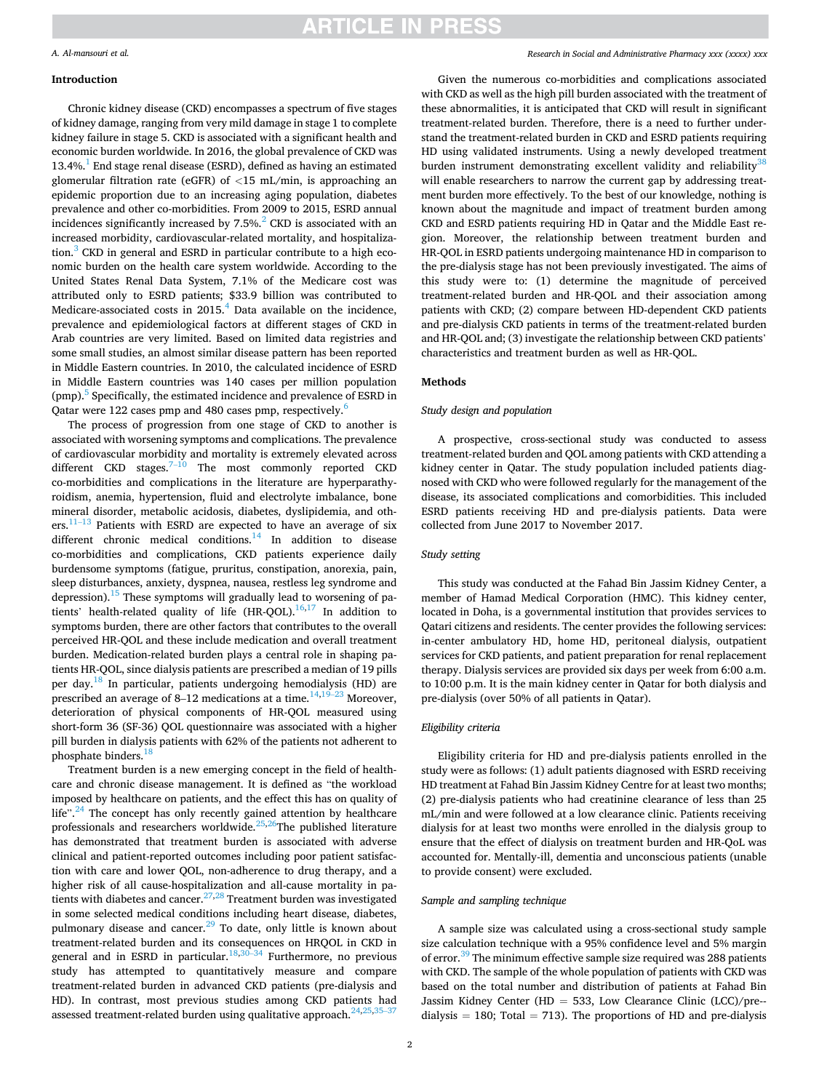# **ARTICLE IN PRESS**

# *A. Al-mansouri et al.*

# **Introduction**

Chronic kidney disease (CKD) encompasses a spectrum of five stages of kidney damage, ranging from very mild damage in stage 1 to complete kidney failure in stage 5. CKD is associated with a significant health and economic burden worldwide. In 2016, the global prevalence of CKD was 13.4%.<sup>1</sup> End stage renal disease (ESRD), defined as having an estimated glomerular filtration rate (eGFR) of *<*15 mL/min, is approaching an epidemic proportion due to an increasing aging population, diabetes prevalence and other co-morbidities. From 2009 to 2015, ESRD annual incidences significantly increased by  $7.5\%$ <sup>2</sup> CKD is associated with an increased morbidity, cardiovascular-related mortality, and hospitalization. $3$  [CKD in general and ESRD in particular contribute to a high eco](#page-7-0)nomic burden on the health care system worldwide. According to the United States Renal Data System, 7.1% of the Medicare cost was attributed only to ESRD patients; \$33.9 billion was contributed to Medicare-associated costs in  $2015<sup>4</sup>$  Data available on the incidence, prevalence and epidemiological factors at different stages of CKD in Arab countries are very limited. Based on limited data registries and some small studies, an almost similar disease pattern has been reported in Middle Eastern countries. In 2010, the calculated incidence of ESRD in Middle Eastern countries was 140 cases per million population (pmp).5 [Specifically, the estimated incidence and prevalence of ESRD in](#page-7-0)  Qatar were 122 cases pmp and 480 cases pmp, respectively.<sup>[6](#page-7-0)</sup>

The process of progression from one stage of CKD to another is associated with worsening symptoms and complications. The prevalence of cardiovascular morbidity and mortality is extremely elevated across different CKD stages. $7-10$  The most commonly reported CKD co-morbidities and complications in the literature are hyperparathyroidism, anemia, hypertension, fluid and electrolyte imbalance, bone mineral disorder, metabolic acidosis, diabetes, dyslipidemia, and oth $ers.$ <sup>11-13</sup> Patients with ESRD are expected to have an average of six different chronic medical conditions.<sup>14</sup> In addition to disease co-morbidities and complications, CKD patients experience daily burdensome symptoms (fatigue, pruritus, constipation, anorexia, pain, sleep disturbances, anxiety, dyspnea, nausea, restless leg syndrome and depression).<sup>15</sup> [These symptoms will gradually lead to worsening of pa](#page-7-0)tients' health-related quality of life (HR-QOL). $16,17$  $16,17$  In addition to symptoms burden, there are other factors that contributes to the overall perceived HR-QOL and these include medication and overall treatment burden. Medication-related burden plays a central role in shaping patients HR-QOL, since dialysis patients are prescribed a median of 19 pills per day.<sup>18</sup> In particular, patients undergoing hemodialysis (HD) are prescribed an average of 8–12 medications at a time. $14,19-23$  $14,19-23$  Moreover, deterioration of physical components of HR-QOL measured using short-form 36 (SF-36) QOL questionnaire was associated with a higher pill burden in dialysis patients with 62% of the patients not adherent to phosphate binders.<sup>[18](#page-7-0)</sup>

Treatment burden is a new emerging concept in the field of healthcare and chronic disease management. It is defined as "the workload imposed by healthcare on patients, and the effect this has on quality of life".<sup>24</sup> The concept has only recently gained attention by healthcare professionals and researchers worldwide.<sup>[25,2](#page-7-0)6</sup>The published literature has demonstrated that treatment burden is associated with adverse clinical and patient-reported outcomes including poor patient satisfaction with care and lower QOL, non-adherence to drug therapy, and a higher risk of all cause-hospitalization and all-cause mortality in patients with diabetes and cancer. $27,28$  $27,28$  Treatment burden was investigated in some selected medical conditions including heart disease, diabetes, pulmonary disease and cancer.<sup>29</sup> To date, only little is known about treatment-related burden and its consequences on HRQOL in CKD in general and in ESRD in particular.<sup>[18,3](#page-7-0)0–34</sup> Furthermore, no previous study has attempted to quantitatively measure and compare treatment-related burden in advanced CKD patients (pre-dialysis and HD). In contrast, most previous studies among CKD patients had assessed treatment-related burden using qualitative approach. $24,25,35-37$  $24,25,35-37$ 

#### *Research in Social and Administrative Pharmacy xxx (xxxx) xxx*

Given the numerous co-morbidities and complications associated with CKD as well as the high pill burden associated with the treatment of these abnormalities, it is anticipated that CKD will result in significant treatment-related burden. Therefore, there is a need to further understand the treatment-related burden in CKD and ESRD patients requiring HD using validated instruments. Using a newly developed treatment burden instrument demonstrating excellent validity and reliability<sup>38</sup> will enable researchers to narrow the current gap by addressing treatment burden more effectively. To the best of our knowledge, nothing is known about the magnitude and impact of treatment burden among CKD and ESRD patients requiring HD in Qatar and the Middle East region. Moreover, the relationship between treatment burden and HR-QOL in ESRD patients undergoing maintenance HD in comparison to the pre-dialysis stage has not been previously investigated. The aims of this study were to: (1) determine the magnitude of perceived treatment-related burden and HR-QOL and their association among patients with CKD; (2) compare between HD-dependent CKD patients and pre-dialysis CKD patients in terms of the treatment-related burden and HR-QOL and; (3) investigate the relationship between CKD patients' characteristics and treatment burden as well as HR-QOL.

#### **Methods**

# *Study design and population*

A prospective, cross-sectional study was conducted to assess treatment-related burden and QOL among patients with CKD attending a kidney center in Qatar. The study population included patients diagnosed with CKD who were followed regularly for the management of the disease, its associated complications and comorbidities. This included ESRD patients receiving HD and pre-dialysis patients. Data were collected from June 2017 to November 2017.

### *Study setting*

This study was conducted at the Fahad Bin Jassim Kidney Center, a member of Hamad Medical Corporation (HMC). This kidney center, located in Doha, is a governmental institution that provides services to Qatari citizens and residents. The center provides the following services: in-center ambulatory HD, home HD, peritoneal dialysis, outpatient services for CKD patients, and patient preparation for renal replacement therapy. Dialysis services are provided six days per week from 6:00 a.m. to 10:00 p.m. It is the main kidney center in Qatar for both dialysis and pre-dialysis (over 50% of all patients in Qatar).

### *Eligibility criteria*

Eligibility criteria for HD and pre-dialysis patients enrolled in the study were as follows: (1) adult patients diagnosed with ESRD receiving HD treatment at Fahad Bin Jassim Kidney Centre for at least two months; (2) pre-dialysis patients who had creatinine clearance of less than 25 mL/min and were followed at a low clearance clinic. Patients receiving dialysis for at least two months were enrolled in the dialysis group to ensure that the effect of dialysis on treatment burden and HR-QoL was accounted for. Mentally-ill, dementia and unconscious patients (unable to provide consent) were excluded.

#### *Sample and sampling technique*

A sample size was calculated using a cross-sectional study sample size calculation technique with a 95% confidence level and 5% margin of error.<sup>39</sup> The minimum effective sample size required was 288 patients with CKD. The sample of the whole population of patients with CKD was based on the total number and distribution of patients at Fahad Bin Jassim Kidney Center (HD = 533, Low Clearance Clinic  $(LCC)/pre$ dialysis  $= 180$ ; Total  $= 713$ ). The proportions of HD and pre-dialysis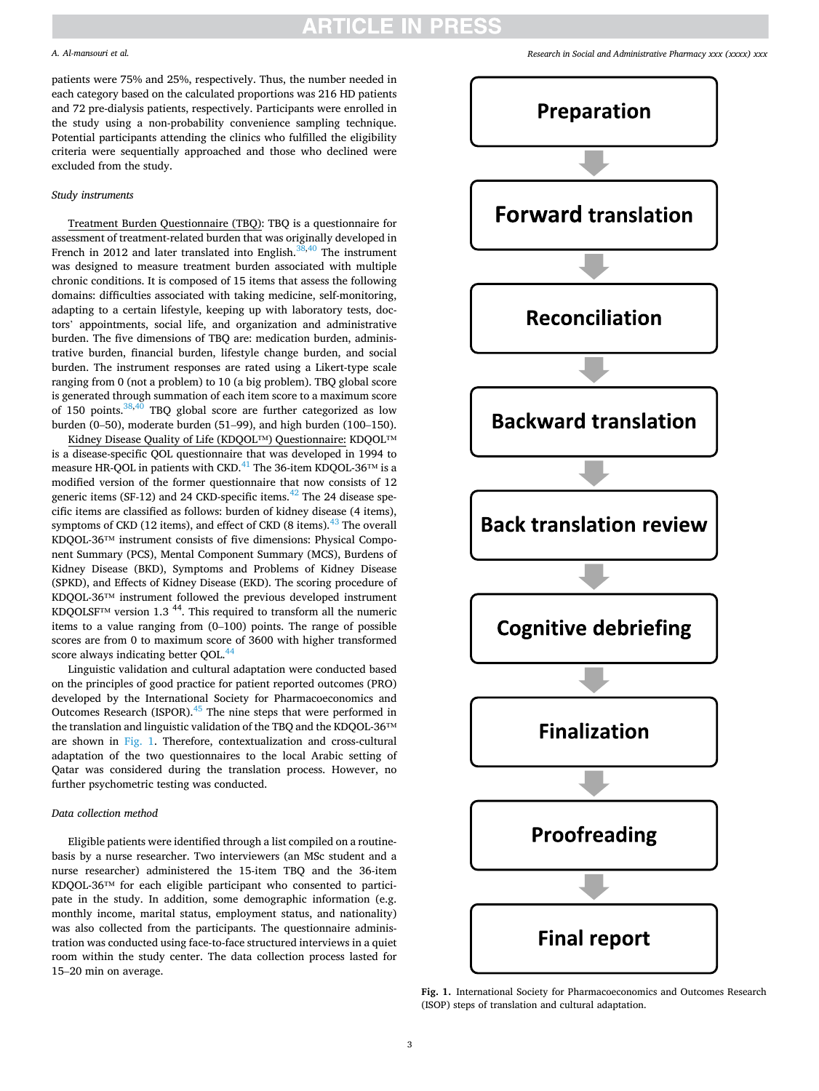# ARTICLE IN PR

### *A. Al-mansouri et al.*

patients were 75% and 25%, respectively. Thus, the number needed in each category based on the calculated proportions was 216 HD patients and 72 pre-dialysis patients, respectively. Participants were enrolled in the study using a non-probability convenience sampling technique. Potential participants attending the clinics who fulfilled the eligibility criteria were sequentially approached and those who declined were excluded from the study.

### *Study instruments*

Treatment Burden Questionnaire (TBQ): TBQ is a questionnaire for assessment of treatment-related burden that was originally developed in French in 2012 and later translated into English. $38,40$  $38,40$  The instrument was designed to measure treatment burden associated with multiple chronic conditions. It is composed of 15 items that assess the following domains: difficulties associated with taking medicine, self-monitoring, adapting to a certain lifestyle, keeping up with laboratory tests, doctors' appointments, social life, and organization and administrative burden. The five dimensions of TBQ are: medication burden, administrative burden, financial burden, lifestyle change burden, and social burden. The instrument responses are rated using a Likert-type scale ranging from 0 (not a problem) to 10 (a big problem). TBQ global score is generated through summation of each item score to a maximum score of 150 points.<sup>[38,](#page-7-0)40</sup> TBQ global score are further categorized as low burden (0–50), moderate burden (51–99), and high burden (100–150).

Kidney Disease Quality of Life (KDQOL™) Questionnaire: KDQOL™ is a disease-specific QOL questionnaire that was developed in 1994 to measure HR-QOL in patients with CKD.<sup>41</sup> [The 36-item KDQOL-36](#page-7-0)<sup>TM</sup> is a modified version of the former questionnaire that now consists of 12 generic items (SF-12) and 24 CKD-specific items.<sup>42</sup> [The 24 disease spe](#page-7-0)cific items are classified as follows: burden of kidney disease (4 items), symptoms of CKD (12 items), and effect of CKD (8 items). $43$  The overall KDQOL-36™ instrument consists of five dimensions: Physical Component Summary (PCS), Mental Component Summary (MCS), Burdens of Kidney Disease (BKD), Symptoms and Problems of Kidney Disease (SPKD), and Effects of Kidney Disease (EKD). The scoring procedure of KDQOL-36™ instrument followed the previous developed instrument KDQOLSF<sup>™</sup> version 1.3<sup>44</sup>. This required to transform all the numeric items to a value ranging from (0–100) points. The range of possible scores are from 0 to maximum score of 3600 with higher transformed score always indicating better OOL.<sup>44</sup>

Linguistic validation and cultural adaptation were conducted based on the principles of good practice for patient reported outcomes (PRO) developed by the International Society for Pharmacoeconomics and Outcomes Research (ISPOR).<sup>45</sup> The nine steps that were performed in the translation and linguistic validation of the TBQ and the KDQOL-36™ are shown in Fig. 1. Therefore, contextualization and cross-cultural adaptation of the two questionnaires to the local Arabic setting of Qatar was considered during the translation process. However, no further psychometric testing was conducted.

### *Data collection method*

Eligible patients were identified through a list compiled on a routinebasis by a nurse researcher. Two interviewers (an MSc student and a nurse researcher) administered the 15-item TBQ and the 36-item KDQOL-36™ for each eligible participant who consented to participate in the study. In addition, some demographic information (e.g. monthly income, marital status, employment status, and nationality) was also collected from the participants. The questionnaire administration was conducted using face-to-face structured interviews in a quiet room within the study center. The data collection process lasted for 15–20 min on average.

*Research in Social and Administrative Pharmacy xxx (xxxx) xxx*



**Fig. 1.** International Society for Pharmacoeconomics and Outcomes Research (ISOP) steps of translation and cultural adaptation.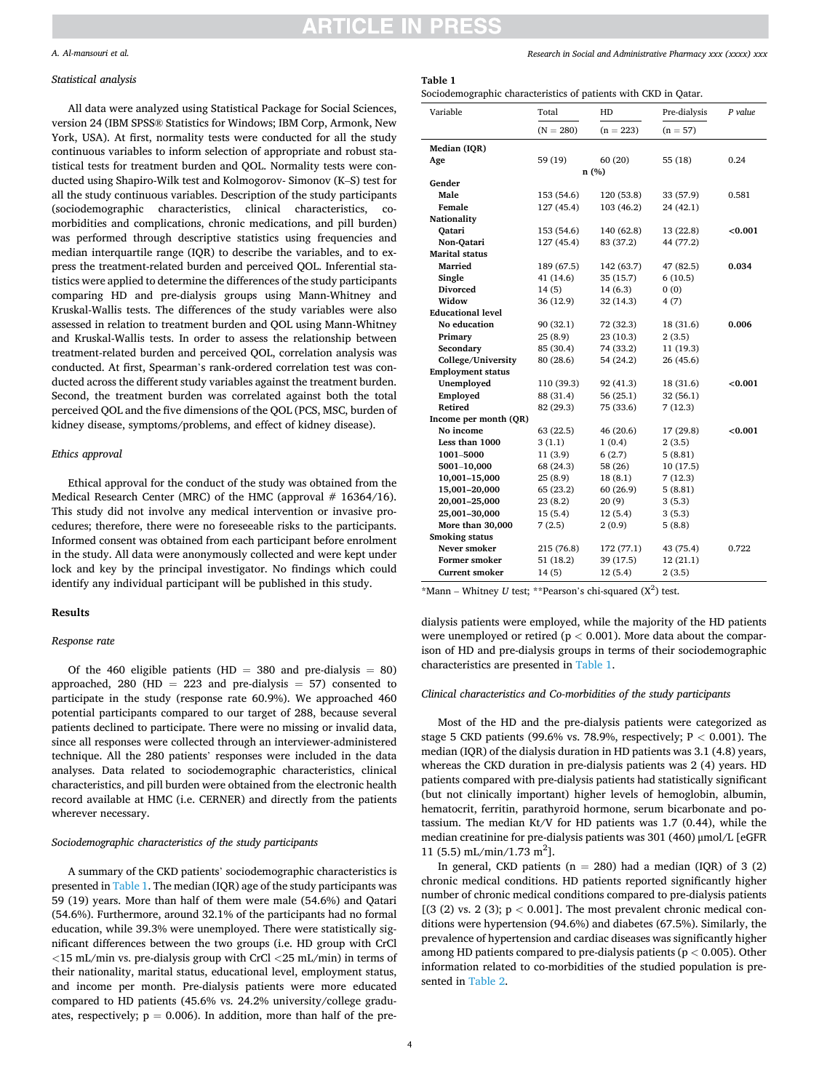# TICI E IN PRE

#### *A. Al-mansouri et al.*

#### *Statistical analysis*

All data were analyzed using Statistical Package for Social Sciences, version 24 (IBM SPSS® Statistics for Windows; IBM Corp, Armonk, New York, USA). At first, normality tests were conducted for all the study continuous variables to inform selection of appropriate and robust statistical tests for treatment burden and QOL. Normality tests were conducted using Shapiro-Wilk test and Kolmogorov- Simonov (K–S) test for all the study continuous variables. Description of the study participants (sociodemographic characteristics, clinical characteristics, comorbidities and complications, chronic medications, and pill burden) was performed through descriptive statistics using frequencies and median interquartile range (IQR) to describe the variables, and to express the treatment-related burden and perceived QOL. Inferential statistics were applied to determine the differences of the study participants comparing HD and pre-dialysis groups using Mann-Whitney and Kruskal-Wallis tests. The differences of the study variables were also assessed in relation to treatment burden and QOL using Mann-Whitney and Kruskal-Wallis tests. In order to assess the relationship between treatment-related burden and perceived QOL, correlation analysis was conducted. At first, Spearman's rank-ordered correlation test was conducted across the different study variables against the treatment burden. Second, the treatment burden was correlated against both the total perceived QOL and the five dimensions of the QOL (PCS, MSC, burden of kidney disease, symptoms/problems, and effect of kidney disease).

# *Ethics approval*

Ethical approval for the conduct of the study was obtained from the Medical Research Center (MRC) of the HMC (approval  $# 16364/16$ ). This study did not involve any medical intervention or invasive procedures; therefore, there were no foreseeable risks to the participants. Informed consent was obtained from each participant before enrolment in the study. All data were anonymously collected and were kept under lock and key by the principal investigator. No findings which could identify any individual participant will be published in this study.

#### **Results**

#### *Response rate*

Of the 460 eligible patients (HD = 380 and pre-dialysis = 80) approached, 280 (HD  $= 223$  and pre-dialysis  $= 57$ ) consented to participate in the study (response rate 60.9%). We approached 460 potential participants compared to our target of 288, because several patients declined to participate. There were no missing or invalid data, since all responses were collected through an interviewer-administered technique. All the 280 patients' responses were included in the data analyses. Data related to sociodemographic characteristics, clinical characteristics, and pill burden were obtained from the electronic health record available at HMC (i.e. CERNER) and directly from the patients wherever necessary.

## *Sociodemographic characteristics of the study participants*

A summary of the CKD patients' sociodemographic characteristics is presented in Table 1. The median (IQR) age of the study participants was 59 (19) years. More than half of them were male (54.6%) and Qatari (54.6%). Furthermore, around 32.1% of the participants had no formal education, while 39.3% were unemployed. There were statistically significant differences between the two groups (i.e. HD group with CrCl *<*15 mL/min vs. pre-dialysis group with CrCl *<*25 mL/min) in terms of their nationality, marital status, educational level, employment status, and income per month. Pre-dialysis patients were more educated compared to HD patients (45.6% vs. 24.2% university/college graduates, respectively;  $p = 0.006$ ). In addition, more than half of the pre*Research in Social and Administrative Pharmacy xxx (xxxx) xxx*

## **Table 1**

Sociodemographic characteristics of patients with CKD in Qatar.

| Variable                 | Total       | HD          | Pre-dialysis | $P$ value  |
|--------------------------|-------------|-------------|--------------|------------|
|                          | $(N = 280)$ | $(n = 223)$ | $(n = 57)$   |            |
| Median (IQR)             |             |             |              |            |
| Age                      | 59 (19)     | 60 (20)     | 55 (18)      | 0.24       |
|                          | n(%)        |             |              |            |
| Gender                   |             |             |              |            |
| Male                     | 153 (54.6)  | 120 (53.8)  | 33 (57.9)    | 0.581      |
| Female                   | 127 (45.4)  | 103 (46.2)  | 24 (42.1)    |            |
| Nationality              |             |             |              |            |
| Oatari                   | 153 (54.6)  | 140 (62.8)  | 13 (22.8)    | ${<}0.001$ |
| Non-Qatari               | 127 (45.4)  | 83 (37.2)   | 44 (77.2)    |            |
| <b>Marital status</b>    |             |             |              |            |
| Married                  | 189 (67.5)  | 142 (63.7)  | 47 (82.5)    | 0.034      |
| Single                   | 41 (14.6)   | 35 (15.7)   | 6 (10.5)     |            |
| <b>Divorced</b>          | 14 (5)      | 14 (6.3)    | 0(0)         |            |
| Widow                    | 36 (12.9)   | 32 (14.3)   | 4 (7)        |            |
| <b>Educational level</b> |             |             |              |            |
| No education             | 90 (32.1)   | 72 (32.3)   | 18 (31.6)    | 0.006      |
| Primary                  | 25 (8.9)    | 23 (10.3)   | 2(3.5)       |            |
| Secondary                | 85 (30.4)   | 74 (33.2)   | 11 (19.3)    |            |
| College/University       | 80 (28.6)   | 54 (24.2)   | 26 (45.6)    |            |
| <b>Employment status</b> |             |             |              |            |
| Unemployed               | 110 (39.3)  | 92 (41.3)   | 18 (31.6)    | < 0.001    |
| Employed                 | 88 (31.4)   | 56 (25.1)   | 32 (56.1)    |            |
| Retired                  | 82 (29.3)   | 75 (33.6)   | 7 (12.3)     |            |
| Income per month (QR)    |             |             |              |            |
| No income                | 63 (22.5)   | 46 (20.6)   | 17 (29.8)    | < 0.001    |
| Less than 1000           | 3(1.1)      | 1(0.4)      | 2(3.5)       |            |
| 1001-5000                | 11(3.9)     | 6(2.7)      | 5(8.81)      |            |
| 5001-10,000              | 68 (24.3)   | 58 (26)     | 10 (17.5)    |            |
| 10,001-15,000            | 25(8.9)     | 18(8.1)     | 7(12.3)      |            |
| 15,001-20,000            | 65 (23.2)   | 60 (26.9)   | 5(8.81)      |            |
| 20,001-25,000            | 23 (8.2)    | 20(9)       | 3 (5.3)      |            |
| 25,001-30,000            | 15 (5.4)    | 12(5.4)     | 3(5.3)       |            |
| More than 30,000         | 7(2.5)      | 2(0.9)      | 5(8.8)       |            |
| <b>Smoking status</b>    |             |             |              |            |
| Never smoker             | 215 (76.8)  | 172 (77.1)  | 43 (75.4)    | 0.722      |
| Former smoker            | 51 (18.2)   | 39 (17.5)   | 12 (21.1)    |            |
| <b>Current smoker</b>    | 14 (5)      | 12 (5.4)    | 2(3.5)       |            |

 $*$ Mann – Whitney *U* test;  $*$ <sup>\*</sup>Pearson's chi-squared  $(X^2)$  test.

dialysis patients were employed, while the majority of the HD patients were unemployed or retired (p *<* 0.001). More data about the comparison of HD and pre-dialysis groups in terms of their sociodemographic characteristics are presented in Table 1.

### *Clinical characteristics and Co-morbidities of the study participants*

Most of the HD and the pre-dialysis patients were categorized as stage 5 CKD patients (99.6% vs. 78.9%, respectively; P *<* 0.001). The median (IQR) of the dialysis duration in HD patients was 3.1 (4.8) years, whereas the CKD duration in pre-dialysis patients was 2 (4) years. HD patients compared with pre-dialysis patients had statistically significant (but not clinically important) higher levels of hemoglobin, albumin, hematocrit, ferritin, parathyroid hormone, serum bicarbonate and potassium. The median Kt/V for HD patients was 1.7 (0.44), while the median creatinine for pre-dialysis patients was 301 (460) μmol/L [eGFR 11 (5.5) mL/min/1.73 m<sup>2</sup>].

In general, CKD patients ( $n = 280$ ) had a median (IQR) of 3 (2) chronic medical conditions. HD patients reported significantly higher number of chronic medical conditions compared to pre-dialysis patients  $[(3 (2) \text{ vs. } 2 (3); \text{ p} < 0.001]$ . The most prevalent chronic medical conditions were hypertension (94.6%) and diabetes (67.5%). Similarly, the prevalence of hypertension and cardiac diseases was significantly higher among HD patients compared to pre-dialysis patients (p *<* 0.005). Other information related to co-morbidities of the studied population is presented in [Table 2](#page-4-0).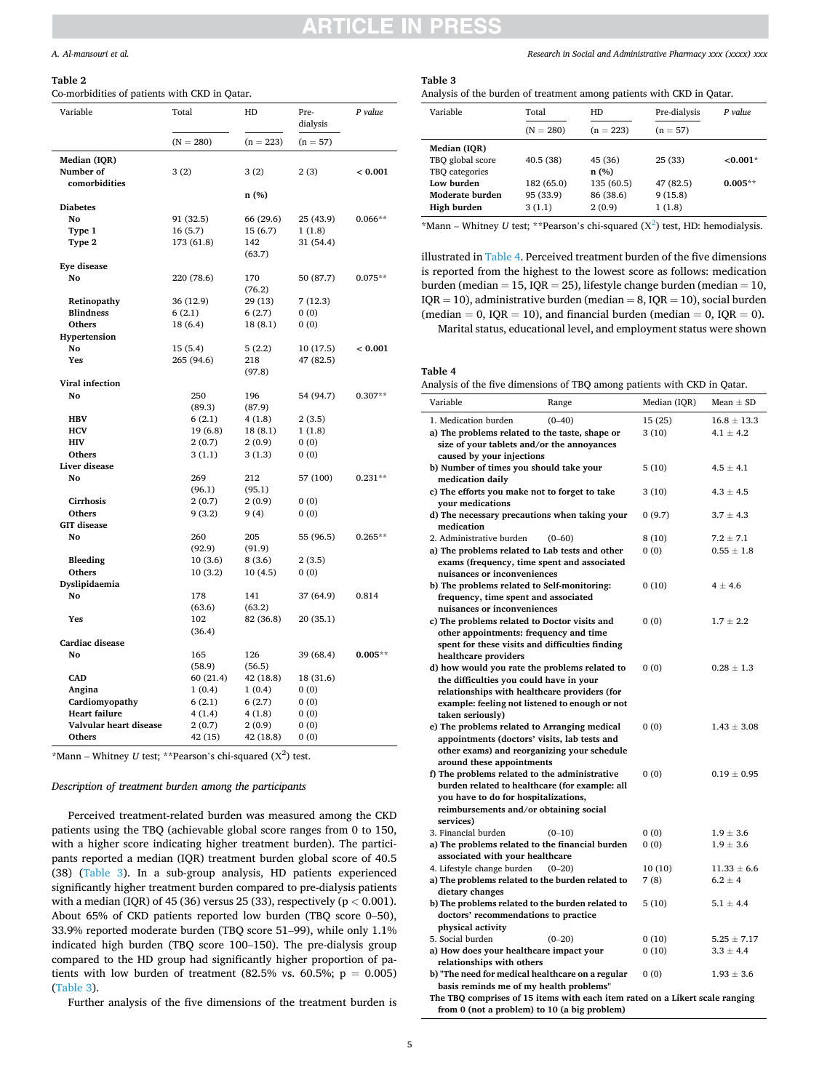#### <span id="page-4-0"></span>**Table 2**

Co-morbidities of patients with CKD in Qatar.

| Variable               | Total                | HD                   | Pre-<br>dialysis    | P value   |
|------------------------|----------------------|----------------------|---------------------|-----------|
|                        | $(N = 280)$          | $(n = 223)$          | $(n = 57)$          |           |
| Median (IQR)           |                      |                      |                     |           |
| Number of              | 3 (2)                | 3(2)                 | 2(3)                | < 0.001   |
| comorbidities          |                      |                      |                     |           |
|                        |                      | n (%)                |                     |           |
| <b>Diabetes</b><br>No  |                      |                      |                     |           |
| Type 1                 | 91 (32.5)<br>16(5.7) | 66 (29.6)<br>15(6.7) | 25 (43.9)<br>1(1.8) | $0.066**$ |
| Type 2                 | 173 (61.8)           | 142                  | 31 (54.4)           |           |
|                        |                      | (63.7)               |                     |           |
| <b>Eye disease</b>     |                      |                      |                     |           |
| No                     | 220 (78.6)           | 170                  | 50 (87.7)           | $0.075**$ |
|                        |                      | (76.2)               |                     |           |
| Retinopathy            | 36 (12.9)            | 29 (13)              | 7(12.3)             |           |
| <b>Blindness</b>       | 6(2.1)               | 6(2.7)               | 0(0)                |           |
| Others                 | 18 (6.4)             | 18 (8.1)             | 0(0)                |           |
| Hypertension           |                      |                      |                     |           |
| No                     | 15(5.4)              | 5(2.2)               | 10(17.5)            | < 0.001   |
| Yes                    | 265 (94.6)           | 218                  | 47 (82.5)           |           |
|                        |                      | (97.8)               |                     |           |
| Viral infection        |                      |                      |                     | $0.307**$ |
| No                     | 250<br>(89.3)        | 196<br>(87.9)        | 54 (94.7)           |           |
| <b>HBV</b>             | 6(2.1)               | 4(1.8)               | 2(3.5)              |           |
| <b>HCV</b>             | 19(6.8)              | 18(8.1)              | 1(1.8)              |           |
| <b>HIV</b>             | 2(0.7)               | 2(0.9)               | 0(0)                |           |
| Others                 | 3(1.1)               | 3(1.3)               | 0(0)                |           |
| Liver disease          |                      |                      |                     |           |
| No                     | 269                  | 212                  | 57 (100)            | $0.231**$ |
|                        | (96.1)               | (95.1)               |                     |           |
| Cirrhosis              | 2(0.7)               | 2(0.9)               | 0(0)                |           |
| <b>Others</b>          | 9(3.2)               | 9(4)                 | 0(0)                |           |
| <b>GIT</b> disease     |                      |                      |                     |           |
| No                     | 260                  | 205                  | 55 (96.5)           | $0.265**$ |
|                        | (92.9)               | (91.9)               |                     |           |
| <b>Bleeding</b>        | 10(3.6)              | 8(3.6)               | 2(3.5)              |           |
| Others                 | 10(3.2)              | 10(4.5)              | 0(0)                |           |
| Dyslipidaemia<br>No    | 178                  | 141                  | 37 (64.9)           | 0.814     |
|                        | (63.6)               | (63.2)               |                     |           |
| Yes                    | 102                  | 82 (36.8)            | 20 (35.1)           |           |
|                        | (36.4)               |                      |                     |           |
| Cardiac disease        |                      |                      |                     |           |
| No                     | 165                  | 126                  | 39 (68.4)           | $0.005**$ |
|                        | (58.9)               | (56.5)               |                     |           |
| <b>CAD</b>             | 60 (21.4)            | 42 (18.8)            | 18 (31.6)           |           |
| Angina                 | 1(0.4)               | 1(0.4)               | 0(0)                |           |
| Cardiomyopathy         | 6(2.1)               | 6(2.7)               | 0(0)                |           |
| <b>Heart failure</b>   | 4(1.4)               | 4(1.8)               | 0(0)                |           |
| Valvular heart disease | 2(0.7)               | 2(0.9)               | 0(0)                |           |
| Others                 | 42 (15)              | 42 (18.8)            | 0(0)                |           |

\*Mann – Whitney  $U$  test; \*\*Pearson's chi-squared  $(X^2)$  test.

# *Description of treatment burden among the participants*

Perceived treatment-related burden was measured among the CKD patients using the TBQ (achievable global score ranges from 0 to 150, with a higher score indicating higher treatment burden). The participants reported a median (IQR) treatment burden global score of 40.5 (38) (Table 3). In a sub-group analysis, HD patients experienced significantly higher treatment burden compared to pre-dialysis patients with a median (IQR) of 45 (36) versus 25 (33), respectively ( $p < 0.001$ ). About 65% of CKD patients reported low burden (TBQ score 0–50), 33.9% reported moderate burden (TBQ score 51–99), while only 1.1% indicated high burden (TBQ score 100–150). The pre-dialysis group compared to the HD group had significantly higher proportion of patients with low burden of treatment (82.5% vs. 60.5%;  $p = 0.005$ ) (Table 3).

Further analysis of the five dimensions of the treatment burden is

*Research in Social and Administrative Pharmacy xxx (xxxx) xxx*

# **Table 3**

| Analysis of the burden of treatment among patients with CKD in Qatar. |  |  |
|-----------------------------------------------------------------------|--|--|
|-----------------------------------------------------------------------|--|--|

| Variable         | Total       | HD          | Pre-dialysis | $P$ value |
|------------------|-------------|-------------|--------------|-----------|
|                  | $(N = 280)$ | $(n = 223)$ | $(n = 57)$   |           |
| Median (IOR)     |             |             |              |           |
| TBO global score | 40.5(38)    | 45 (36)     | 25 (33)      | $<0.001*$ |
| TBO categories   |             | n(%)        |              |           |
| Low burden       | 182 (65.0)  | 135 (60.5)  | 47 (82.5)    | $0.005**$ |
| Moderate burden  | 95 (33.9)   | 86 (38.6)   | 9(15.8)      |           |
| High burden      | 3(1.1)      | 2(0.9)      | 1(1.8)       |           |
|                  |             |             |              |           |

\*Mann – Whitney *U* test; \*\*Pearson's chi-squared  $(X^2)$  test, HD: hemodialysis.

illustrated in Table 4. Perceived treatment burden of the five dimensions is reported from the highest to the lowest score as follows: medication burden (median = 15, IQR = 25), lifestyle change burden (median = 10,  $IQR = 10$ ), administrative burden (median = 8,  $IQR = 10$ ), social burden (median = 0, IQR = 10), and financial burden (median = 0, IQR = 0). Marital status, educational level, and employment status were shown

### **Table 4**

| Analysis of the five dimensions of TBQ among patients with CKD in Qatar. |  |  |  |  |
|--------------------------------------------------------------------------|--|--|--|--|
|--------------------------------------------------------------------------|--|--|--|--|

| mary or or the five unnemotions of 1DQ unions puttents with one in Quita.                                                                         |            |                  |                                  |
|---------------------------------------------------------------------------------------------------------------------------------------------------|------------|------------------|----------------------------------|
| Variable                                                                                                                                          | Range      | Median (IQR)     | Mean $\pm$ SD                    |
| 1. Medication burden<br>a) The problems related to the taste, shape or<br>size of your tablets and/or the annoyances<br>caused by your injections | $(0 - 40)$ | 15 (25)<br>3(10) | $16.8 \pm 13.3$<br>$4.1 \pm 4.2$ |
| b) Number of times you should take your<br>medication daily                                                                                       |            | 5(10)            | $4.5 \pm 4.1$                    |
| c) The efforts you make not to forget to take<br>your medications                                                                                 |            | 3(10)            | $4.3 \pm 4.5$                    |
| d) The necessary precautions when taking your<br>medication                                                                                       |            | 0(9.7)           | $3.7 \pm 4.3$                    |
| 2. Administrative burden                                                                                                                          | $(0 - 60)$ | 8(10)            | $7.2 \pm 7.1$                    |
| a) The problems related to Lab tests and other                                                                                                    |            | 0(0)             | $0.55 \pm 1.8$                   |
| exams (frequency, time spent and associated                                                                                                       |            |                  |                                  |
| nuisances or inconveniences                                                                                                                       |            |                  |                                  |
| b) The problems related to Self-monitoring:                                                                                                       |            | 0(10)            | $4 \pm 4.6$                      |
| frequency, time spent and associated                                                                                                              |            |                  |                                  |
| nuisances or inconveniences                                                                                                                       |            |                  |                                  |
| c) The problems related to Doctor visits and                                                                                                      |            | 0(0)             | $1.7 \pm 2.2$                    |
| other appointments: frequency and time                                                                                                            |            |                  |                                  |
| spent for these visits and difficulties finding                                                                                                   |            |                  |                                  |
| healthcare providers                                                                                                                              |            |                  |                                  |
| d) how would you rate the problems related to                                                                                                     |            | 0(0)             | $0.28 \pm 1.3$                   |
| the difficulties you could have in your                                                                                                           |            |                  |                                  |
| relationships with healthcare providers (for                                                                                                      |            |                  |                                  |
| example: feeling not listened to enough or not                                                                                                    |            |                  |                                  |
| taken seriously)                                                                                                                                  |            |                  |                                  |
|                                                                                                                                                   |            | (0)              | $1.43 \pm 3.08$                  |
| e) The problems related to Arranging medical<br>appointments (doctors' visits, lab tests and                                                      |            |                  |                                  |
|                                                                                                                                                   |            |                  |                                  |
| other exams) and reorganizing your schedule<br>around these appointments                                                                          |            |                  |                                  |
|                                                                                                                                                   |            |                  |                                  |
| f) The problems related to the administrative                                                                                                     |            | 0(0)             | $0.19 \pm 0.95$                  |
| burden related to healthcare (for example: all                                                                                                    |            |                  |                                  |
| you have to do for hospitalizations,                                                                                                              |            |                  |                                  |
| reimbursements and/or obtaining social                                                                                                            |            |                  |                                  |
| services)                                                                                                                                         |            |                  |                                  |
| 3. Financial burden                                                                                                                               | $(0-10)$   | 0(0)             | $1.9\pm3.6$                      |
| a) The problems related to the financial burden                                                                                                   |            | 0(0)             | $1.9 \pm 3.6$                    |
| associated with your healthcare                                                                                                                   |            |                  |                                  |
| 4. Lifestyle change burden                                                                                                                        | $(0 - 20)$ | 10(10)           | $11.33 \pm 6.6$                  |
| a) The problems related to the burden related to                                                                                                  |            | 7(8)             | $6.2 \pm 4$                      |
| dietary changes                                                                                                                                   |            |                  |                                  |
| b) The problems related to the burden related to                                                                                                  |            | 5(10)            | $5.1 \pm 4.4$                    |
| doctors' recommendations to practice                                                                                                              |            |                  |                                  |
| physical activity                                                                                                                                 |            |                  |                                  |
| 5. Social burden                                                                                                                                  | $(0-20)$   | 0(10)            | $5.25 \pm 7.17$                  |
| a) How does your healthcare impact your                                                                                                           |            | 0(10)            | $3.3 \pm 4.4$                    |
| relationships with others                                                                                                                         |            |                  |                                  |
| b) "The need for medical healthcare on a regular                                                                                                  |            | 0(0)             | $1.93 \pm 3.6$                   |
| basis reminds me of my health problems"                                                                                                           |            |                  |                                  |
| The TBQ comprises of 15 items with each item rated on a Likert scale ranging                                                                      |            |                  |                                  |
| from 0 (not a problem) to 10 (a big problem)                                                                                                      |            |                  |                                  |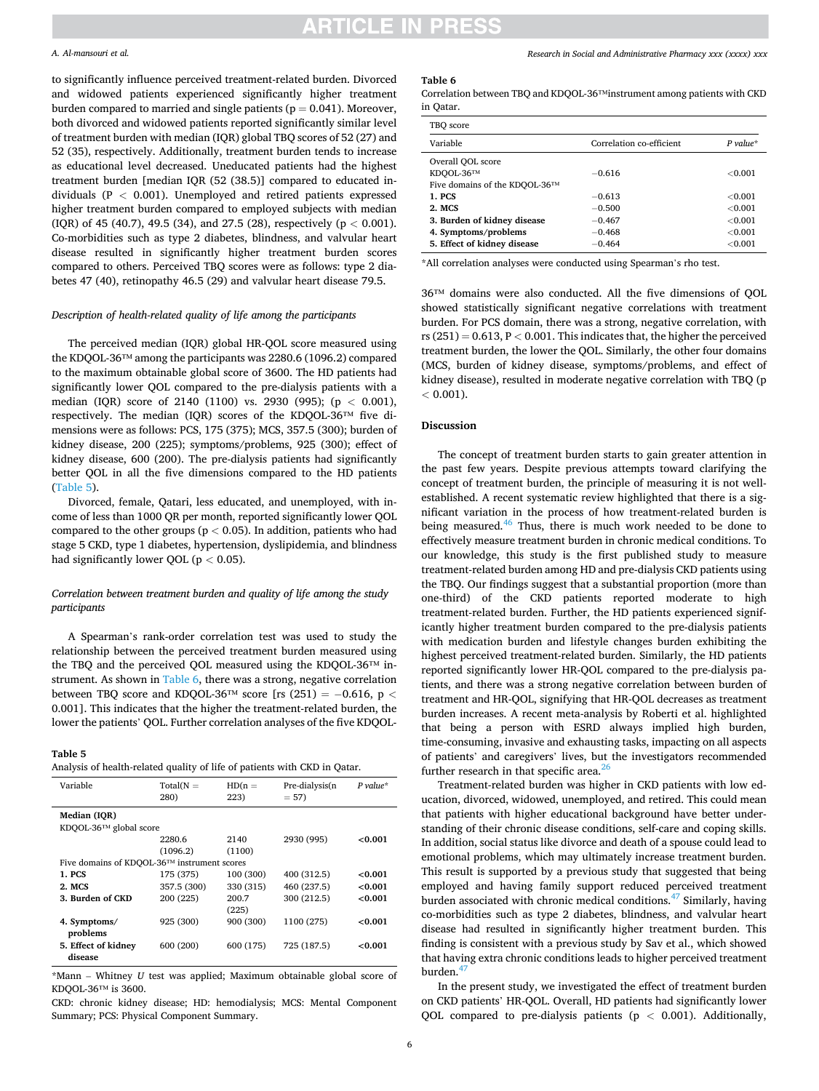# **ARTICLE IN PRES**

### *A. Al-mansouri et al.*

to significantly influence perceived treatment-related burden. Divorced and widowed patients experienced significantly higher treatment burden compared to married and single patients ( $p = 0.041$ ). Moreover, both divorced and widowed patients reported significantly similar level of treatment burden with median (IQR) global TBQ scores of 52 (27) and 52 (35), respectively. Additionally, treatment burden tends to increase as educational level decreased. Uneducated patients had the highest treatment burden [median IQR (52 (38.5)] compared to educated individuals (P *<* 0.001). Unemployed and retired patients expressed higher treatment burden compared to employed subjects with median (IQR) of 45 (40.7), 49.5 (34), and 27.5 (28), respectively (p *<* 0.001). Co-morbidities such as type 2 diabetes, blindness, and valvular heart disease resulted in significantly higher treatment burden scores compared to others. Perceived TBQ scores were as follows: type 2 diabetes 47 (40), retinopathy 46.5 (29) and valvular heart disease 79.5.

### *Description of health-related quality of life among the participants*

The perceived median (IQR) global HR-QOL score measured using the KDQOL-36™ among the participants was 2280.6 (1096.2) compared to the maximum obtainable global score of 3600. The HD patients had significantly lower QOL compared to the pre-dialysis patients with a median (IQR) score of 2140 (1100) vs. 2930 (995); (p *<* 0.001), respectively. The median (IQR) scores of the KDQOL-36™ five dimensions were as follows: PCS, 175 (375); MCS, 357.5 (300); burden of kidney disease, 200 (225); symptoms/problems, 925 (300); effect of kidney disease, 600 (200). The pre-dialysis patients had significantly better QOL in all the five dimensions compared to the HD patients (Table 5).

Divorced, female, Qatari, less educated, and unemployed, with income of less than 1000 QR per month, reported significantly lower QOL compared to the other groups ( $p < 0.05$ ). In addition, patients who had stage 5 CKD, type 1 diabetes, hypertension, dyslipidemia, and blindness had significantly lower QOL (p *<* 0.05).

# *Correlation between treatment burden and quality of life among the study participants*

A Spearman's rank-order correlation test was used to study the relationship between the perceived treatment burden measured using the TBQ and the perceived QOL measured using the KDQOL-36™ instrument. As shown in Table 6, there was a strong, negative correlation between TBQ score and KDQOL-36™ score [rs (251) = −0.616, p *<* 0.001]. This indicates that the higher the treatment-related burden, the lower the patients' QOL. Further correlation analyses of the five KDQOL-

#### **Table 5**

| Analysis of health-related quality of life of patients with CKD in Qatar. |  |  |  |
|---------------------------------------------------------------------------|--|--|--|
|---------------------------------------------------------------------------|--|--|--|

| Variable                                    | $Total(N =$<br>280) | $HD(n =$<br>223) | Pre-dialysis(n<br>$= 57$ | $P$ value* |
|---------------------------------------------|---------------------|------------------|--------------------------|------------|
| Median (IOR)                                |                     |                  |                          |            |
| KDOOL-36™ global score                      |                     |                  |                          |            |
|                                             | 2280.6              | 2140             | 2930 (995)               | <0.001     |
|                                             | (1096.2)            | (1100)           |                          |            |
| Five domains of KDQOL-36™ instrument scores |                     |                  |                          |            |
| 1. PCS                                      | 175 (375)           | 100 (300)        | 400 (312.5)              | < 0.001    |
| 2. MCS                                      | 357.5 (300)         | 330 (315)        | 460 (237.5)              | < 0.001    |
| 3. Burden of CKD                            | 200 (225)           | 200.7            | 300 (212.5)              | <0.001     |
|                                             |                     | (225)            |                          |            |
| 4. Symptoms/                                | 925 (300)           | 900 (300)        | 1100 (275)               | < 0.001    |
| problems                                    |                     |                  |                          |            |
| 5. Effect of kidney                         | 600 (200)           | 600 (175)        | 725 (187.5)              | < 0.001    |
| disease                                     |                     |                  |                          |            |

\*Mann – Whitney *U* test was applied; Maximum obtainable global score of KDQOL-36™ is 3600.

CKD: chronic kidney disease; HD: hemodialysis; MCS: Mental Component Summary; PCS: Physical Component Summary.

#### **Table 6**

Correlation between TBQ and KDQOL-36™instrument among patients with CKD in Qatar.

| TBO score                     |                          |            |
|-------------------------------|--------------------------|------------|
| Variable                      | Correlation co-efficient | $P$ value* |
| Overall OOL score             |                          |            |
| KDOOL-36TM                    | $-0.616$                 | ${<}0.001$ |
| Five domains of the KDOOL-36™ |                          |            |
| 1. PCS                        | $-0.613$                 | ${<}0.001$ |
| 2. MCS                        | $-0.500$                 | ${<}0.001$ |
| 3. Burden of kidney disease   | $-0.467$                 | ${<}0.001$ |
| 4. Symptoms/problems          | $-0.468$                 | ${<}0.001$ |
| 5. Effect of kidney disease   | $-0.464$                 | ${<}0.001$ |

\*All correlation analyses were conducted using Spearman's rho test.

36™ domains were also conducted. All the five dimensions of QOL showed statistically significant negative correlations with treatment burden. For PCS domain, there was a strong, negative correlation, with rs  $(251) = 0.613$ ,  $P < 0.001$ . This indicates that, the higher the perceived treatment burden, the lower the QOL. Similarly, the other four domains (MCS, burden of kidney disease, symptoms/problems, and effect of kidney disease), resulted in moderate negative correlation with TBQ (p *<* 0.001).

### **Discussion**

The concept of treatment burden starts to gain greater attention in the past few years. Despite previous attempts toward clarifying the concept of treatment burden, the principle of measuring it is not wellestablished. A recent systematic review highlighted that there is a significant variation in the process of how treatment-related burden is being measured. $46$  Thus, there is much work needed to be done to effectively measure treatment burden in chronic medical conditions. To our knowledge, this study is the first published study to measure treatment-related burden among HD and pre-dialysis CKD patients using the TBQ. Our findings suggest that a substantial proportion (more than one-third) of the CKD patients reported moderate to high treatment-related burden. Further, the HD patients experienced significantly higher treatment burden compared to the pre-dialysis patients with medication burden and lifestyle changes burden exhibiting the highest perceived treatment-related burden. Similarly, the HD patients reported significantly lower HR-QOL compared to the pre-dialysis patients, and there was a strong negative correlation between burden of treatment and HR-QOL, signifying that HR-QOL decreases as treatment burden increases. A recent meta-analysis by Roberti et al. highlighted that being a person with ESRD always implied high burden, time-consuming, invasive and exhausting tasks, impacting on all aspects of patients' and caregivers' lives, but the investigators recommended further research in that specific area. $^{26}$  $^{26}$  $^{26}$ 

Treatment-related burden was higher in CKD patients with low education, divorced, widowed, unemployed, and retired. This could mean that patients with higher educational background have better understanding of their chronic disease conditions, self-care and coping skills. In addition, social status like divorce and death of a spouse could lead to emotional problems, which may ultimately increase treatment burden. This result is supported by a previous study that suggested that being employed and having family support reduced perceived treatment burden associated with chronic medical conditions.47 [Similarly, having](#page-7-0)  co-morbidities such as type 2 diabetes, blindness, and valvular heart disease had resulted in significantly higher treatment burden. This finding is consistent with a previous study by Sav et al., which showed that having extra chronic conditions leads to higher perceived treatment burden. $47$ 

In the present study, we investigated the effect of treatment burden on CKD patients' HR-QOL. Overall, HD patients had significantly lower QOL compared to pre-dialysis patients (p *<* 0.001). Additionally,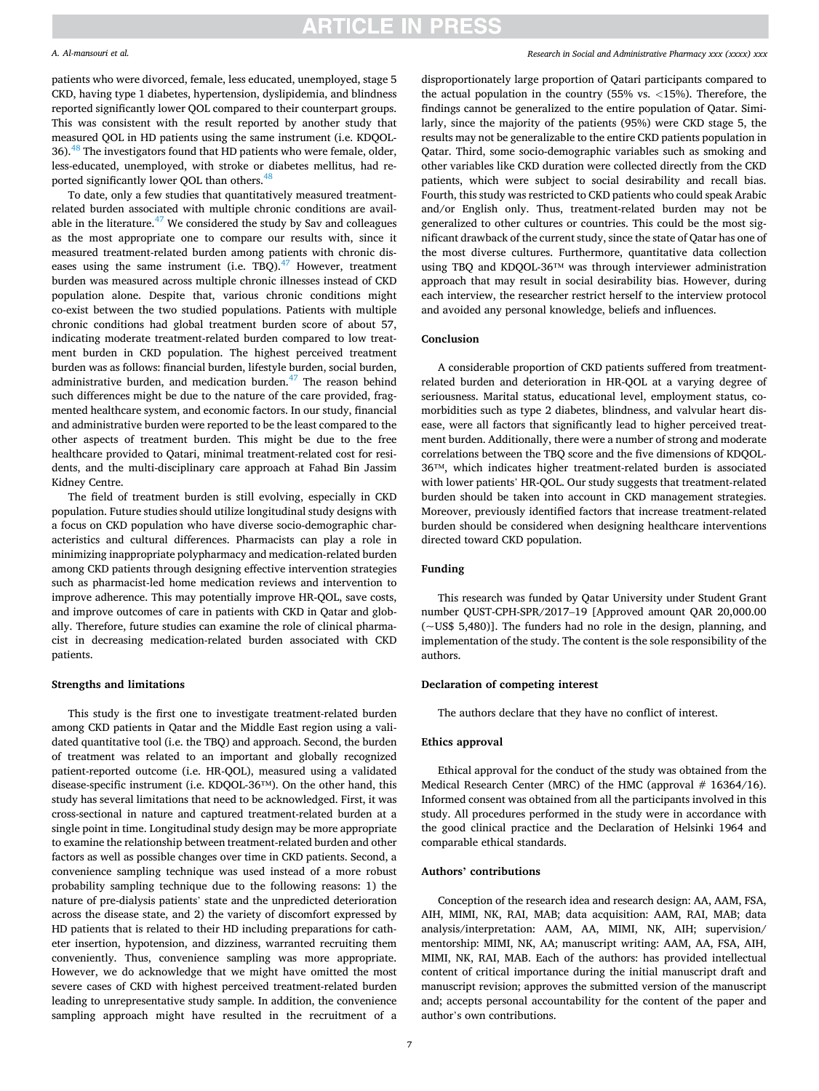# **ARTICLE IN PRESS**

#### *A. Al-mansouri et al.*

patients who were divorced, female, less educated, unemployed, stage 5 CKD, having type 1 diabetes, hypertension, dyslipidemia, and blindness reported significantly lower QOL compared to their counterpart groups. This was consistent with the result reported by another study that measured QOL in HD patients using the same instrument (i.e. KDQOL-36).<sup>48</sup> The investigators found that HD patients who were female, older, less-educated, unemployed, with stroke or diabetes mellitus, had re-ported significantly lower QOL than others.<sup>[48](#page-7-0)</sup>

To date, only a few studies that quantitatively measured treatmentrelated burden associated with multiple chronic conditions are available in the literature. $47$  We considered the study by Sav and colleagues as the most appropriate one to compare our results with, since it measured treatment-related burden among patients with chronic diseases using the same instrument (i.e. TBQ).<sup>47</sup> However, treatment burden was measured across multiple chronic illnesses instead of CKD population alone. Despite that, various chronic conditions might co-exist between the two studied populations. Patients with multiple chronic conditions had global treatment burden score of about 57, indicating moderate treatment-related burden compared to low treatment burden in CKD population. The highest perceived treatment burden was as follows: financial burden, lifestyle burden, social burden, administrative burden, and medication burden. $47$  The reason behind such differences might be due to the nature of the care provided, fragmented healthcare system, and economic factors. In our study, financial and administrative burden were reported to be the least compared to the other aspects of treatment burden. This might be due to the free healthcare provided to Qatari, minimal treatment-related cost for residents, and the multi-disciplinary care approach at Fahad Bin Jassim Kidney Centre.

The field of treatment burden is still evolving, especially in CKD population. Future studies should utilize longitudinal study designs with a focus on CKD population who have diverse socio-demographic characteristics and cultural differences. Pharmacists can play a role in minimizing inappropriate polypharmacy and medication-related burden among CKD patients through designing effective intervention strategies such as pharmacist-led home medication reviews and intervention to improve adherence. This may potentially improve HR-QOL, save costs, and improve outcomes of care in patients with CKD in Qatar and globally. Therefore, future studies can examine the role of clinical pharmacist in decreasing medication-related burden associated with CKD patients.

#### **Strengths and limitations**

This study is the first one to investigate treatment-related burden among CKD patients in Qatar and the Middle East region using a validated quantitative tool (i.e. the TBQ) and approach. Second, the burden of treatment was related to an important and globally recognized patient-reported outcome (i.e. HR-QOL), measured using a validated disease-specific instrument (i.e. KDQOL-36™). On the other hand, this study has several limitations that need to be acknowledged. First, it was cross-sectional in nature and captured treatment-related burden at a single point in time. Longitudinal study design may be more appropriate to examine the relationship between treatment-related burden and other factors as well as possible changes over time in CKD patients. Second, a convenience sampling technique was used instead of a more robust probability sampling technique due to the following reasons: 1) the nature of pre-dialysis patients' state and the unpredicted deterioration across the disease state, and 2) the variety of discomfort expressed by HD patients that is related to their HD including preparations for catheter insertion, hypotension, and dizziness, warranted recruiting them conveniently. Thus, convenience sampling was more appropriate. However, we do acknowledge that we might have omitted the most severe cases of CKD with highest perceived treatment-related burden leading to unrepresentative study sample. In addition, the convenience sampling approach might have resulted in the recruitment of a

#### *Research in Social and Administrative Pharmacy xxx (xxxx) xxx*

disproportionately large proportion of Qatari participants compared to the actual population in the country (55% vs. *<*15%). Therefore, the findings cannot be generalized to the entire population of Qatar. Similarly, since the majority of the patients (95%) were CKD stage 5, the results may not be generalizable to the entire CKD patients population in Qatar. Third, some socio-demographic variables such as smoking and other variables like CKD duration were collected directly from the CKD patients, which were subject to social desirability and recall bias. Fourth, this study was restricted to CKD patients who could speak Arabic and/or English only. Thus, treatment-related burden may not be generalized to other cultures or countries. This could be the most significant drawback of the current study, since the state of Qatar has one of the most diverse cultures. Furthermore, quantitative data collection using TBQ and KDQOL-36™ was through interviewer administration approach that may result in social desirability bias. However, during each interview, the researcher restrict herself to the interview protocol and avoided any personal knowledge, beliefs and influences.

# **Conclusion**

A considerable proportion of CKD patients suffered from treatmentrelated burden and deterioration in HR-QOL at a varying degree of seriousness. Marital status, educational level, employment status, comorbidities such as type 2 diabetes, blindness, and valvular heart disease, were all factors that significantly lead to higher perceived treatment burden. Additionally, there were a number of strong and moderate correlations between the TBQ score and the five dimensions of KDQOL-36™, which indicates higher treatment-related burden is associated with lower patients' HR-QOL. Our study suggests that treatment-related burden should be taken into account in CKD management strategies. Moreover, previously identified factors that increase treatment-related burden should be considered when designing healthcare interventions directed toward CKD population.

#### **Funding**

This research was funded by Qatar University under Student Grant number QUST-CPH-SPR/2017–19 [Approved amount QAR 20,000.00 (~US\$ 5,480)]. The funders had no role in the design, planning, and implementation of the study. The content is the sole responsibility of the authors.

#### **Declaration of competing interest**

The authors declare that they have no conflict of interest.

### **Ethics approval**

Ethical approval for the conduct of the study was obtained from the Medical Research Center (MRC) of the HMC (approval  $# 16364/16$ ). Informed consent was obtained from all the participants involved in this study. All procedures performed in the study were in accordance with the good clinical practice and the Declaration of Helsinki 1964 and comparable ethical standards.

# **Authors' contributions**

Conception of the research idea and research design: AA, AAM, FSA, AIH, MIMI, NK, RAI, MAB; data acquisition: AAM, RAI, MAB; data analysis/interpretation: AAM, AA, MIMI, NK, AIH; supervision/ mentorship: MIMI, NK, AA; manuscript writing: AAM, AA, FSA, AIH, MIMI, NK, RAI, MAB. Each of the authors: has provided intellectual content of critical importance during the initial manuscript draft and manuscript revision; approves the submitted version of the manuscript and; accepts personal accountability for the content of the paper and author's own contributions.